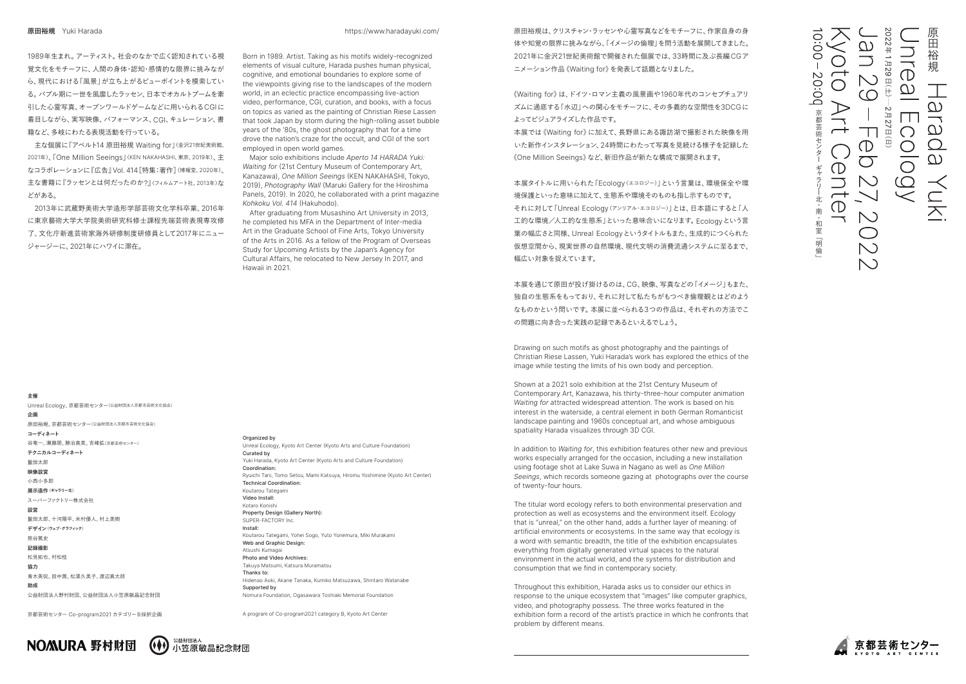2022原田裕 にほんじょう こうしょう しょうかん しゅうしょう しゅうしゅう しゅうしゅう しゅうしゅう しゅうしゅう しゅうしゅう しゅうしゅう しゅうしゅう しゅうしゅう しゅうしゅう しゅうしゅう しゅうしゅうしゅ 年د... 月 $\Box$ 2920:00  $\overline{\phantom{0}}$  $\bigcup$  $\overline{\bigcirc}$ 日(土)̶ $\cap$  $\overline{O}$  $\bigcap$  $\triangleright$  $\sim$ 京都芸術セ 月 $\mathbf{I}$ 京都芸術センターギャラリー北・南・和室「明倫」 27  $\bigcap$  $\overline{\phantom{0}}$ 日(日)  $\bigcirc$  $\bigcap$  $\overline{\bigcirc}$  $\bigcirc$  $\bigcirc$  $\Box$  $\overline{\phantom{0}}$ 北  $\bigcirc$ ·南  $\setminus$ 和室 可明 倫



原田裕規は、クリスチャン・ラッセンや心霊写真などをモチーフに、作家自身の身 体や知覚の限界に挑みながら、「イメージの倫理」を問う活動を展開してきました。 2021年に金沢21世紀美術館で開催された個展では、33時間に及ぶ長編CG ア ニメーション作品《Waiting for》を発表して話題となりました。

《Waiting for》は、ドイツ・ロマン主義の風景画や1960年代のコンセプチュアリ ズムに通底する「水辺」への関心をモチーフに、その多義的な空間性を3DCG に よってビジュアライズした作品です。

本展では《Waiting for》に加えて、長野県にある諏訪湖で撮影された映像を用 いた新作インスタレーション、24時間にわたって写真を見続ける様子を記録した 《One Million Seeings》など、新旧作品が新たな構成で展開されます。

本展タイトルに用いられた「Ecology(エコロジー)」という言葉は、環境保全や環 境保護といった意味に加えて、生態系や環境そのものも指し示すものです。 それに対して「Unreal Ecology(アンリアル・エコロジー)」とは、日本語にすると「人 工的な環境/人工的な生態系」といった意味合いになります。Ecologyという言 葉の幅広さと同様、Unreal Ecologyというタイトルもまた、生成的につくられた 仮想空間から、現実世界の自然環境、現代文明の消費流通システムに至るまで、 幅広い対象を捉えています。

本展を通じて原田が投げ掛けるのは、CG、映像、写真などの「イメージ」もまた、 独自の生態系をもっており、それに対して私たちがもつべき倫理観とはどのよう なものかという問いです。本展に並べられる 3つの作品は、それぞれの方法でこ の問題に向き合った実践の記録であるといえるでしょう。

Drawing on such motifs as ghost photography and the paintings of Christian Riese Lassen, Yuki Harada's work has explored the ethics of the image while testing the limits of his own body and perception.

Shown at a 2021 solo exhibition at the 21st Century Museum of Contemporary Art, Kanazawa, his thirty-three-hour computer animation *Waiting for* attracted widespread attention. The work is based on his interest in the waterside, a central element in both German Romanticist landscape painting and 1960s conceptual art, and whose ambiguous spatiality Harada visualizes through 3D CGI.

In addition to *Waiting for*, this exhibition features other new and previous works especially arranged for the occasion, including a new installation using footage shot at Lake Suwa in Nagano as well as *One Million Seeings*, which records someone gazing at photographs over the course of twenty-four hours.

The titular word ecology refers to both environmental preservation and protection as well as ecosystems and the environment itself. Ecology that is "unreal," on the other hand, adds a further layer of meaning: of artificial environments or ecosystems. In the same way that ecology is a word with semantic breadth, the title of the exhibition encapsulates everything from digitally generated virtual spaces to the natural environment in the actual world, and the systems for distribution and consumption that we find in contemporary society.

Throughout this exhibition, Harada asks us to consider our ethics in response to the unique ecosystem that "images" like computer graphics, video, and photography possess. The three works featured in the exhibition form a record of the artist's practice in which he confronts that problem by different means.

京都芸術センター Co-program2021 カテゴリー B採択企画



## **主催**

Unreal Ecology、京都芸術センター(公益財団法人京都市芸術文化協会) **企画** 原田裕規、京都芸術センター(公益財団法人京都市芸術文化協会) **コーディネート** 谷竜一、瀬藤朋、勝冶真美、吉峰拡(京都芸術センター) **テクニカルコーディネート** 鬣恒太郎 **映像設営** 小西小多郎 **展示造作(ギャラリー北)** スーパーファクトリー株式会社 **設営** 鬣恒太郎、十河陽平、米村優人、村上美樹 **デザイン(ウェブ・グラフィック)** 熊谷篤史 **記録撮影** 松見拓也、村松桂 **協力** 青木英侃、田中茜、松澤久美子、渡辺真太郎 **助成** 公益財団法人野村財団、公益財団法人小笠原敏晶記念財団

### Organized by

Unreal Ecology, Kyoto Art Center (Kyoto Arts and Culture Foundation) Curated by Yuki Harada, Kyoto Art Center (Kyoto Arts and Culture Foundation) Coordination: Ryuichi Tani, Tomo Setou, Mami Katsuya, Hiromu Yoshimine (Kyoto Art Center) Technical Coordination: Koutarou Tategami Video Install: Kotaro Konish Property Design (Gallery North): SUPER-FACTORY Inc. Install: Koutarou Tategami, Yohei Sogo, Yuto Yonemura, Miki Murakami Web and Graphic Design: Atsushi Kumagai Photo and Video Archives: Takuya Matsumi, Katsura Muramatsu Thanks to: Hidenao Aoki, Akane Tanaka, Kumiko Matsuzawa, Shintaro Watanabe Supported by Nomura Foundation, Ogasawara Toshiaki Memorial Foundation

A program of Co-program2021 category B, Kyoto Art Center

1989年生まれ。アーティスト。社会のなかで広く認知されている視 覚文化をモチーフに、人間の身体・認知・感情的な限界に挑みなが ら、現代における「風景」が立ち上がるビューポイントを模索してい る。バブル期に一世を風靡したラッセン、日本でオカルトブームを牽 引した心霊写真、オープンワールドゲームなどに用いられるCGI に 着目しながら、実写映像、パフォーマンス、CGI、キュレーション、書 籍など、多岐にわたる表現活動を行っている。

主な個展に「アペルト14 原田裕規 Waiting for 」(金沢21世紀美術館、 2021年)、「One Million Seeings」(KEN NAKAHASHI、東京、2019年)、主 なコラボレーションに『広告』Vol. 414[特集:著作](博報堂、2020年) 、 主な書籍に『ラッセンとは何だったのか ? 』(フィルムアート社、2013年) な どがある。

 2013年に武蔵野美術大学造形学部芸術文化学科卒業、2016 年 に東京藝術大学大学院美術研究科修士課程先端芸術表現専攻修 了、文化庁新進芸術家海外研修制度研修員として2017年にニュー ジャージーに、2021年にハワイに滞在。

https://www.haradayuki.com/

Born in 1989. Artist. Taking as his motifs widely-recognized elements of visual culture, Harada pushes human physical, cognitive, and emotional boundaries to explore some of the viewpoints giving rise to the landscapes of the modern world, in an eclectic practice encompassing live-action video, performance, CGI, curation, and books, with a focus on topics as varied as the painting of Christian Riese Lassen that took Japan by storm during the high-rolling asset bubble years of the '80s, the ghost photography that for a time drove the nation's craze for the occult, and CGI of the sort employed in open world games.

 Major solo exhibitions include *Aperto 14 HARADA Yuki: Waiting for* (21st Century Museum of Contemporary Art, Kanazawa), *One Million Seeings* (KEN NAKAHASHI, Tokyo, 2019), *Photography Wall* (Maruki Gallery for the Hiroshima Panels, 2019). In 2020, he collaborated with a print magazine *Kohkoku Vol. 414* (Hakuhodo).

 After graduating from Musashino Art University in 2013, he completed his MFA in the Department of Inter-media Art in the Graduate School of Fine Arts, Tokyo University of the Arts in 2016. As a fellow of the Program of Overseas Study for Upcoming Artists by the Japan's Agency for Cultural Affairs, he relocated to New Jersey In 2017, and Hawaii in 2021.